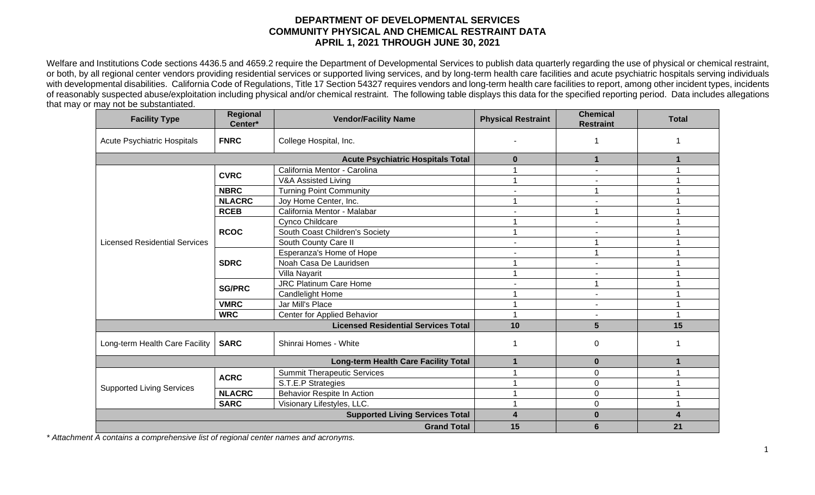## **DEPARTMENT OF DEVELOPMENTAL SERVICES COMMUNITY PHYSICAL AND CHEMICAL RESTRAINT DATA APRIL 1, 2021 THROUGH JUNE 30, 2021**

Welfare and Institutions Code sections 4436.5 and 4659.2 require the Department of Developmental Services to publish data quarterly regarding the use of physical or chemical restraint, or both, by all regional center vendors providing residential services or supported living services, and by long-term health care facilities and acute psychiatric hospitals serving individuals with developmental disabilities. California Code of Regulations, Title 17 Section 54327 requires vendors and long-term health care facilities to report, among other incident types, incidents of reasonably suspected abuse/exploitation including physical and/or chemical restraint. The following table displays this data for the specified reporting period. Data includes allegations that may or may not be substantiated.

| <b>Facility Type</b>                       | Regional<br>Center*                    | <b>Vendor/Facility Name</b>        | <b>Physical Restraint</b> | <b>Chemical</b><br><b>Restraint</b> | <b>Total</b> |
|--------------------------------------------|----------------------------------------|------------------------------------|---------------------------|-------------------------------------|--------------|
| <b>Acute Psychiatric Hospitals</b>         | <b>FNRC</b>                            | College Hospital, Inc.             |                           |                                     |              |
|                                            | $\mathbf{0}$                           | 1                                  |                           |                                     |              |
|                                            |                                        | California Mentor - Carolina       |                           |                                     |              |
| <b>Licensed Residential Services</b>       | <b>CVRC</b>                            | V&A Assisted Living                |                           |                                     |              |
|                                            | <b>NBRC</b>                            | <b>Turning Point Community</b>     | $\overline{\phantom{a}}$  |                                     |              |
|                                            | <b>NLACRC</b>                          | Joy Home Center, Inc.              |                           |                                     |              |
|                                            | <b>RCEB</b>                            | California Mentor - Malabar        |                           |                                     |              |
|                                            | <b>RCOC</b>                            | Cynco Childcare                    |                           | $\blacksquare$                      |              |
|                                            |                                        | South Coast Children's Society     | 1                         |                                     |              |
|                                            |                                        | South County Care II               | $\overline{\phantom{a}}$  |                                     |              |
|                                            | <b>SDRC</b>                            | Esperanza's Home of Hope           |                           |                                     |              |
|                                            |                                        | Noah Casa De Lauridsen             |                           |                                     |              |
|                                            |                                        | Villa Nayarit                      |                           |                                     |              |
|                                            | <b>SG/PRC</b>                          | <b>JRC Platinum Care Home</b>      |                           |                                     |              |
|                                            |                                        | Candlelight Home                   |                           | -                                   |              |
|                                            | <b>VMRC</b>                            | Jar Mill's Place                   |                           |                                     |              |
|                                            | <b>WRC</b>                             | Center for Applied Behavior        |                           |                                     | 1            |
| <b>Licensed Residential Services Total</b> |                                        |                                    | 10                        | $5\phantom{1}$                      | 15           |
| Long-term Health Care Facility             | <b>SARC</b>                            | Shinrai Homes - White              |                           | $\boldsymbol{0}$                    |              |
| Long-term Health Care Facility Total       |                                        |                                    | 1                         | $\bf{0}$                            |              |
| <b>Supported Living Services</b>           | <b>ACRC</b>                            | <b>Summit Therapeutic Services</b> |                           | $\mathbf 0$                         |              |
|                                            |                                        | S.T.E.P Strategies                 |                           | $\pmb{0}$                           |              |
|                                            | <b>NLACRC</b>                          | Behavior Respite In Action         |                           | $\pmb{0}$                           |              |
|                                            | <b>SARC</b>                            | Visionary Lifestyles, LLC.         |                           | $\mathbf 0$                         |              |
|                                            | <b>Supported Living Services Total</b> | 4                                  | $\bf{0}$                  | 4                                   |              |
| <b>Grand Total</b>                         |                                        |                                    | 15                        | 6                                   | 21           |

*\* Attachment A contains a comprehensive list of regional center names and acronyms.*